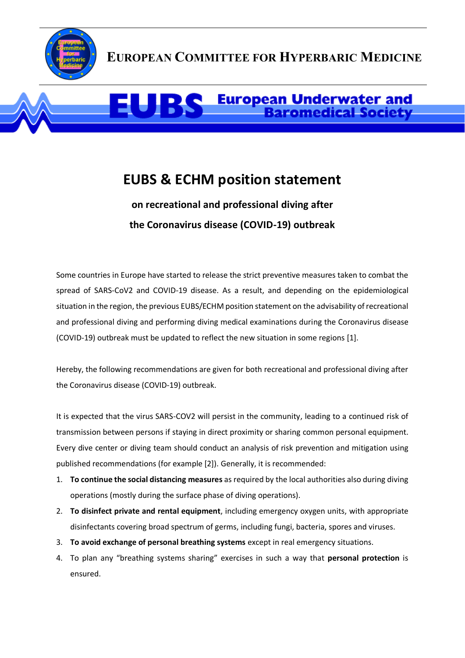

## **EUROPEAN COMMITTEE FOR HYPERBARIC MEDICINE**

## **European Underwater and<br>Baromedical Society**

## **EUBS & ECHM position statement**

## **on recreational and professional diving after the Coronavirus disease (COVID-19) outbreak**

Some countries in Europe have started to release the strict preventive measures taken to combat the spread of SARS-CoV2 and COVID-19 disease. As a result, and depending on the epidemiological situation in the region, the previous EUBS/ECHM position statement on the advisability of recreational and professional diving and performing diving medical examinations during the Coronavirus disease (COVID-19) outbreak must be updated to reflect the new situation in some regions [1].

Hereby, the following recommendations are given for both recreational and professional diving after the Coronavirus disease (COVID-19) outbreak.

It is expected that the virus SARS-COV2 will persist in the community, leading to a continued risk of transmission between persons if staying in direct proximity or sharing common personal equipment. Every dive center or diving team should conduct an analysis of risk prevention and mitigation using published recommendations (for example [2]). Generally, it is recommended:

- 1. **To continue the social distancing measures** as required by the local authorities also during diving operations (mostly during the surface phase of diving operations).
- 2. **To disinfect private and rental equipment**, including emergency oxygen units, with appropriate disinfectants covering broad spectrum of germs, including fungi, bacteria, spores and viruses.
- 3. **To avoid exchange of personal breathing systems** except in real emergency situations.
- 4. To plan any "breathing systems sharing" exercises in such a way that **personal protection** is ensured.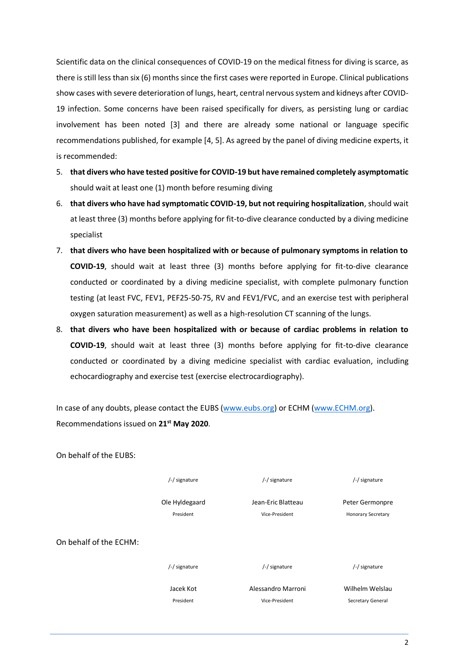Scientific data on the clinical consequences of COVID-19 on the medical fitness for diving is scarce, as there is still less than six (6) months since the first cases were reported in Europe. Clinical publications show cases with severe deterioration of lungs, heart, central nervous system and kidneys after COVID-19 infection. Some concerns have been raised specifically for divers, as persisting lung or cardiac involvement has been noted [3] and there are already some national or language specific recommendations published, for example [4, 5]. As agreed by the panel of diving medicine experts, it is recommended:

- 5. **that divers who have tested positive for COVID-19 but have remained completely asymptomatic** should wait at least one (1) month before resuming diving
- 6. **that divers who have had symptomatic COVID-19, but not requiring hospitalization**, should wait at least three (3) months before applying for fit-to-dive clearance conducted by a diving medicine specialist
- 7. **that divers who have been hospitalized with or because of pulmonary symptoms in relation to COVID-19**, should wait at least three (3) months before applying for fit-to-dive clearance conducted or coordinated by a diving medicine specialist, with complete pulmonary function testing (at least FVC, FEV1, PEF25-50-75, RV and FEV1/FVC, and an exercise test with peripheral oxygen saturation measurement) as well as a high-resolution CT scanning of the lungs.
- 8. **that divers who have been hospitalized with or because of cardiac problems in relation to COVID-19**, should wait at least three (3) months before applying for fit-to-dive clearance conducted or coordinated by a diving medicine specialist with cardiac evaluation, including echocardiography and exercise test (exercise electrocardiography).

In case of any doubts, please contact the EUBS [\(www.eubs.org\)](http://www.eubs.org/) or ECHM [\(www.ECHM.org\)](http://www.echm.org/). Recommendations issued on **21st May 2020**.

| /-/ signature  | /-/ signature      | /-/ signature             |
|----------------|--------------------|---------------------------|
| Ole Hyldegaard | Jean-Eric Blatteau | Peter Germonpre           |
| President      | Vice-President     | <b>Honorary Secretary</b> |
|                |                    |                           |
| /-/ signature  | /-/ signature      | /-/ signature             |
| Jacek Kot      | Alessandro Marroni | Wilhelm Welslau           |
| President      | Vice-President     | Secretary General         |
|                |                    |                           |